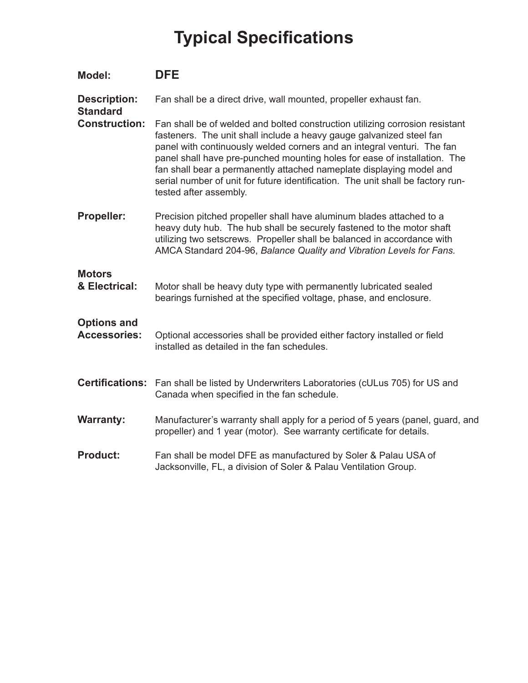## **Typical Specifications**

| Model:                                    | <b>DFE</b>                                                                                                                                                                                                                                                                                                                                                                                                                                                                                        |
|-------------------------------------------|---------------------------------------------------------------------------------------------------------------------------------------------------------------------------------------------------------------------------------------------------------------------------------------------------------------------------------------------------------------------------------------------------------------------------------------------------------------------------------------------------|
| <b>Description:</b><br><b>Standard</b>    | Fan shall be a direct drive, wall mounted, propeller exhaust fan.                                                                                                                                                                                                                                                                                                                                                                                                                                 |
| <b>Construction:</b>                      | Fan shall be of welded and bolted construction utilizing corrosion resistant<br>fasteners. The unit shall include a heavy gauge galvanized steel fan<br>panel with continuously welded corners and an integral venturi. The fan<br>panel shall have pre-punched mounting holes for ease of installation. The<br>fan shall bear a permanently attached nameplate displaying model and<br>serial number of unit for future identification. The unit shall be factory run-<br>tested after assembly. |
| <b>Propeller:</b>                         | Precision pitched propeller shall have aluminum blades attached to a<br>heavy duty hub. The hub shall be securely fastened to the motor shaft<br>utilizing two setscrews. Propeller shall be balanced in accordance with<br>AMCA Standard 204-96, Balance Quality and Vibration Levels for Fans.                                                                                                                                                                                                  |
| <b>Motors</b><br>& Electrical:            | Motor shall be heavy duty type with permanently lubricated sealed<br>bearings furnished at the specified voltage, phase, and enclosure.                                                                                                                                                                                                                                                                                                                                                           |
| <b>Options and</b><br><b>Accessories:</b> | Optional accessories shall be provided either factory installed or field<br>installed as detailed in the fan schedules.                                                                                                                                                                                                                                                                                                                                                                           |
|                                           | Certifications: Fan shall be listed by Underwriters Laboratories (cULus 705) for US and<br>Canada when specified in the fan schedule.                                                                                                                                                                                                                                                                                                                                                             |
| <b>Warranty:</b>                          | Manufacturer's warranty shall apply for a period of 5 years (panel, guard, and<br>propeller) and 1 year (motor). See warranty certificate for details.                                                                                                                                                                                                                                                                                                                                            |
| <b>Product:</b>                           | Fan shall be model DFE as manufactured by Soler & Palau USA of<br>Jacksonville, FL, a division of Soler & Palau Ventilation Group.                                                                                                                                                                                                                                                                                                                                                                |